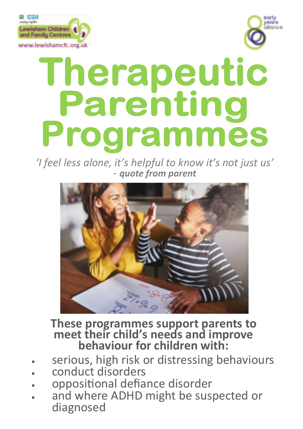



# Therapeutic Parenting Programmes

*'I feel less alone, it's helpful to know it's not just us' - quote from parent*



**These programmes support parents to meet their child's needs and improve behaviour for children with:**

- serious, high risk or distressing behaviours
- conduct disorders
- oppositional defiance disorder
- and where ADHD might be suspected or diagnosed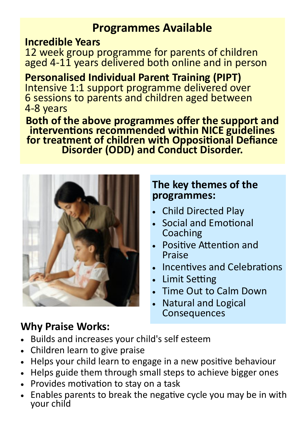# **Programmes Available**

## **Incredible Years**

12 week group programme for parents of children aged 4-11 years delivered both online and in person

**Personalised Individual Parent Training (PIPT)** Intensive 1:1 support programme delivered over 6 sessions to parents and children aged between 4-8 years

**Both of the above programmes offer the support and interventions recommended within NICE guidelines for treatment of children with Oppositional Defiance Disorder (ODD) and Conduct Disorder.** 



# **The key themes of the programmes:**

- Child Directed Play
- Social and Emotional Coaching
- Positive Attention and Praise
- Incentives and Celebrations
- Limit Setting
- Time Out to Calm Down
- Natural and Logical Consequences

# **Why Praise Works:**

- Builds and increases your child's self esteem
- Children learn to give praise
- Helps your child learn to engage in a new positive behaviour
- Helps guide them through small steps to achieve bigger ones
- Provides motivation to stay on a task
- Enables parents to break the negative cycle you may be in with your child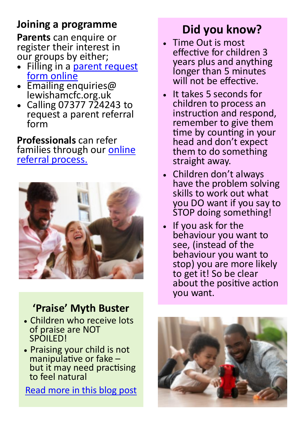# **Joining a programme**

**Parents** can enquire or register their interest in our groups by either;

- Filling in a parent request [form online](https://www.lewishamcfc.org.uk/parent-request-form/)
- Emailing enquiries@ lewishamcfc.org.uk
- Calling 07377 724243 to request a parent referral form

**Professionals** can refer families through our [online](https://www.lewishamcfc.org.uk/professionals-referral-form/)  [referral process.](https://www.lewishamcfc.org.uk/professionals-referral-form/)



# **'Praise' Myth Buster**

- Children who receive lots of praise are NOT SPOILED!
- Praising your child is not manipulative or fake – but it may need practising to feel natural

[Read more in this blog post](https://www.lewishamcfc.org.uk/praise-helps-children-to-feel-good/)

# **Did you know?**

- Time Out is most effective for children 3 years plus and anything longer than 5 minutes will not be effective.
- It takes 5 seconds for children to process an instruction and respond, remember to give them time by counting in your head and don't expect them to do something straight away.
- Children don't always have the problem solving skills to work out what you DO want if you say to STOP doing something!
- If you ask for the behaviour you want to see, (instead of the behaviour you want to stop) you are more likely to get it! So be clear about the positive action you want.